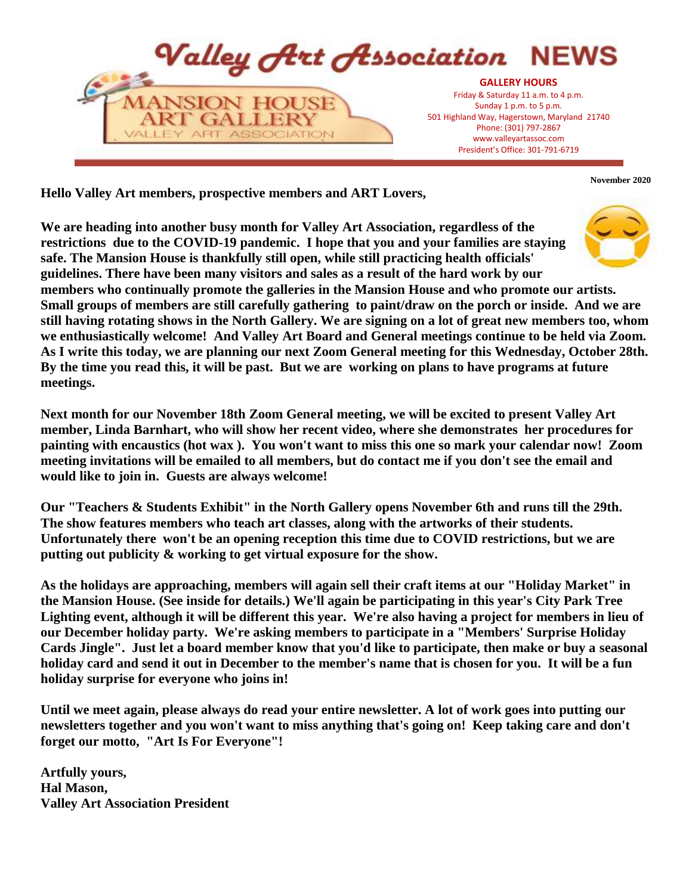

**Hello Valley Art members, prospective members and ART Lovers,**

**We are heading into another busy month for Valley Art Association, regardless of the restrictions due to the COVID-19 pandemic. I hope that you and your families are staying safe. The Mansion House is thankfully still open, while still practicing health officials' guidelines. There have been many visitors and sales as a result of the hard work by our members who continually promote the galleries in the Mansion House and who promote our artists. Small groups of members are still carefully gathering to paint/draw on the porch or inside. And we are still having rotating shows in the North Gallery. We are signing on a lot of great new members too, whom we enthusiastically welcome! And Valley Art Board and General meetings continue to be held via Zoom. As I write this today, we are planning our next Zoom General meeting for this Wednesday, October 28th. By the time you read this, it will be past. But we are working on plans to have programs at future meetings.** 

**Next month for our November 18th Zoom General meeting, we will be excited to present Valley Art member, Linda Barnhart, who will show her recent video, where she demonstrates her procedures for painting with encaustics (hot wax ). You won't want to miss this one so mark your calendar now! Zoom meeting invitations will be emailed to all members, but do contact me if you don't see the email and would like to join in. Guests are always welcome!** 

**Our "Teachers & Students Exhibit" in the North Gallery opens November 6th and runs till the 29th. The show features members who teach art classes, along with the artworks of their students. Unfortunately there won't be an opening reception this time due to COVID restrictions, but we are putting out publicity & working to get virtual exposure for the show.**

**As the holidays are approaching, members will again sell their craft items at our "Holiday Market" in the Mansion House. (See inside for details.) We'll again be participating in this year's City Park Tree Lighting event, although it will be different this year. We're also having a project for members in lieu of our December holiday party. We're asking members to participate in a "Members' Surprise Holiday Cards Jingle". Just let a board member know that you'd like to participate, then make or buy a seasonal holiday card and send it out in December to the member's name that is chosen for you. It will be a fun holiday surprise for everyone who joins in!**

**Until we meet again, please always do read your entire newsletter. A lot of work goes into putting our newsletters together and you won't want to miss anything that's going on! Keep taking care and don't forget our motto, "Art Is For Everyone"!**

**Artfully yours, Hal Mason, Valley Art Association President** **November 2020**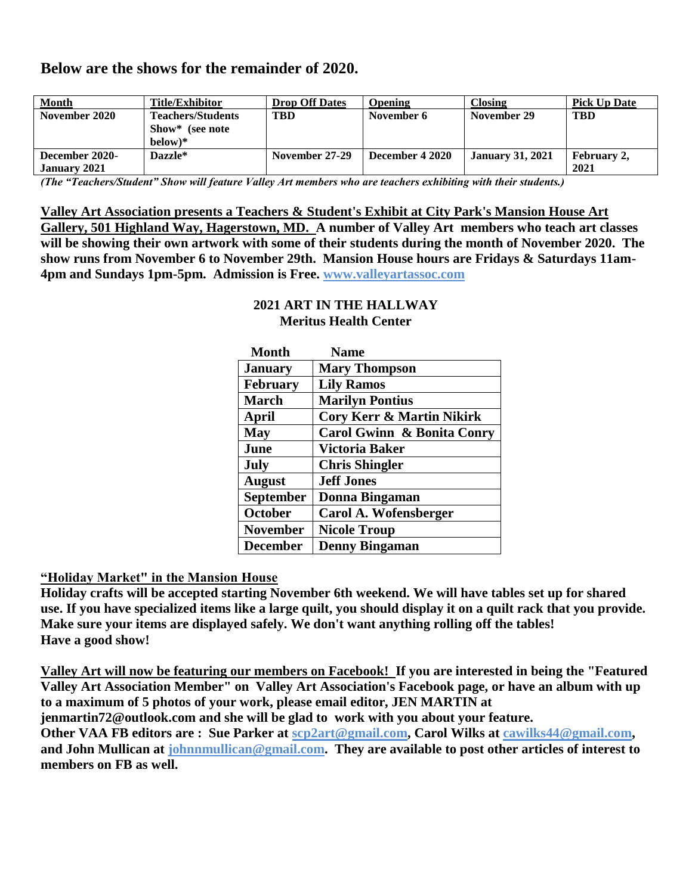# **Below are the shows for the remainder of 2020.**

| <b>Month</b>   | Title/Exhibitor          | <b>Drop Off Dates</b> | <b>Opening</b>  | Closing                 | <b>Pick Up Date</b> |
|----------------|--------------------------|-----------------------|-----------------|-------------------------|---------------------|
| November 2020  | <b>Teachers/Students</b> | TBD                   | November 6      | November 29             | TBD                 |
|                | Show* (see note          |                       |                 |                         |                     |
|                | $below)*$                |                       |                 |                         |                     |
| December 2020- | Dazzle*                  | November 27-29        | December 4 2020 | <b>January 31, 2021</b> | February 2.         |
| January 2021   |                          |                       |                 |                         | 2021                |

*(The "Teachers/Student" Show will feature Valley Art members who are teachers exhibiting with their students.)* 

#### **Valley Art Association presents a Teachers & Student's Exhibit at City Park's Mansion House Art**

**Gallery, 501 Highland Way, Hagerstown, MD. A number of Valley Art members who teach art classes will be showing their own artwork with some of their students during the month of November 2020. The show runs from November 6 to November 29th. Mansion House hours are Fridays & Saturdays 11am-4pm and Sundays 1pm-5pm. Admission is Free. www.valleyartassoc.com**

| <b>Month</b>     | <b>Name</b>                          |
|------------------|--------------------------------------|
| <b>January</b>   | <b>Mary Thompson</b>                 |
| <b>February</b>  | <b>Lily Ramos</b>                    |
| <b>March</b>     | <b>Marilyn Pontius</b>               |
| April            | <b>Cory Kerr &amp; Martin Nikirk</b> |
| <b>May</b>       | Carol Gwinn & Bonita Conry           |
| June             | Victoria Baker                       |
| July             | <b>Chris Shingler</b>                |
| <b>August</b>    | <b>Jeff Jones</b>                    |
| <b>September</b> | Donna Bingaman                       |
| October          | Carol A. Wofensberger                |
| <b>November</b>  | <b>Nicole Troup</b>                  |
| <b>December</b>  | <b>Denny Bingaman</b>                |

#### **2021 ART IN THE HALLWAY Meritus Health Center**

### **"Holiday Market" in the Mansion House**

**Holiday crafts will be accepted starting November 6th weekend. We will have tables set up for shared use. If you have specialized items like a large quilt, you should display it on a quilt rack that you provide. Make sure your items are displayed safely. We don't want anything rolling off the tables! Have a good show!**

**Valley Art will now be featuring our members on Facebook! If you are interested in being the "Featured Valley Art Association Member" on Valley Art Association's Facebook page, or have an album with up to a maximum of 5 photos of your work, please email editor, JEN MARTIN at jenmartin72@outlook.com and she will be glad to work with you about your feature. Other VAA FB editors are : Sue Parker at scp2art@gmail.com, Carol Wilks at cawilks44@gmail.com, and John Mullican at johnnmullican@gmail.com. They are available to post other articles of interest to members on FB as well.**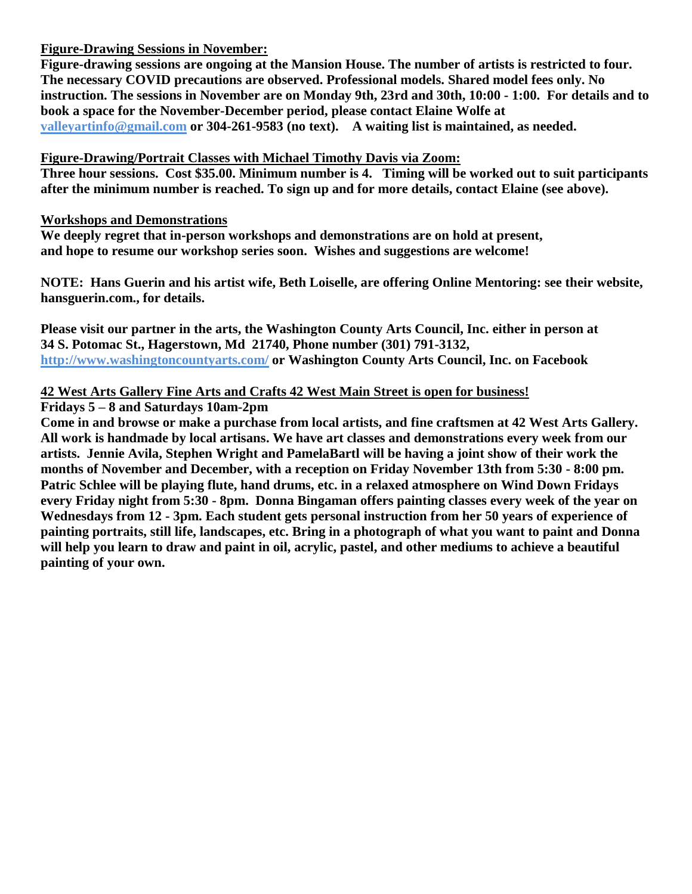### **Figure-Drawing Sessions in November:**

**Figure-drawing sessions are ongoing at the Mansion House. The number of artists is restricted to four. The necessary COVID precautions are observed. Professional models. Shared model fees only. No instruction. The sessions in November are on Monday 9th, 23rd and 30th, 10:00 - 1:00. For details and to book a space for the November-December period, please contact Elaine Wolfe at valleyartinfo@gmail.com or 304-261-9583 (no text). A waiting list is maintained, as needed.**

# **Figure-Drawing/Portrait Classes with Michael Timothy Davis via Zoom:**

**Three hour sessions. Cost \$35.00. Minimum number is 4. Timing will be worked out to suit participants after the minimum number is reached. To sign up and for more details, contact Elaine (see above).**

## **Workshops and Demonstrations**

**We deeply regret that in-person workshops and demonstrations are on hold at present, and hope to resume our workshop series soon. Wishes and suggestions are welcome!**

**NOTE: Hans Guerin and his artist wife, Beth Loiselle, are offering Online Mentoring: see their website, hansguerin.com., for details.**

**Please visit our partner in the arts, the Washington County Arts Council, Inc. either in person at 34 S. Potomac St., Hagerstown, Md 21740, Phone number (301) 791-3132, http://www.washingtoncountyarts.com/ or Washington County Arts Council, Inc. on Facebook**

# **42 West Arts Gallery Fine Arts and Crafts 42 West Main Street is open for business!**

**Fridays 5 – 8 and Saturdays 10am-2pm** 

**Come in and browse or make a purchase from local artists, and fine craftsmen at 42 West Arts Gallery. All work is handmade by local artisans. We have art classes and demonstrations every week from our artists. Jennie Avila, Stephen Wright and PamelaBartl will be having a joint show of their work the months of November and December, with a reception on Friday November 13th from 5:30 - 8:00 pm. Patric Schlee will be playing flute, hand drums, etc. in a relaxed atmosphere on Wind Down Fridays every Friday night from 5:30 - 8pm. Donna Bingaman offers painting classes every week of the year on Wednesdays from 12 - 3pm. Each student gets personal instruction from her 50 years of experience of painting portraits, still life, landscapes, etc. Bring in a photograph of what you want to paint and Donna will help you learn to draw and paint in oil, acrylic, pastel, and other mediums to achieve a beautiful painting of your own.**